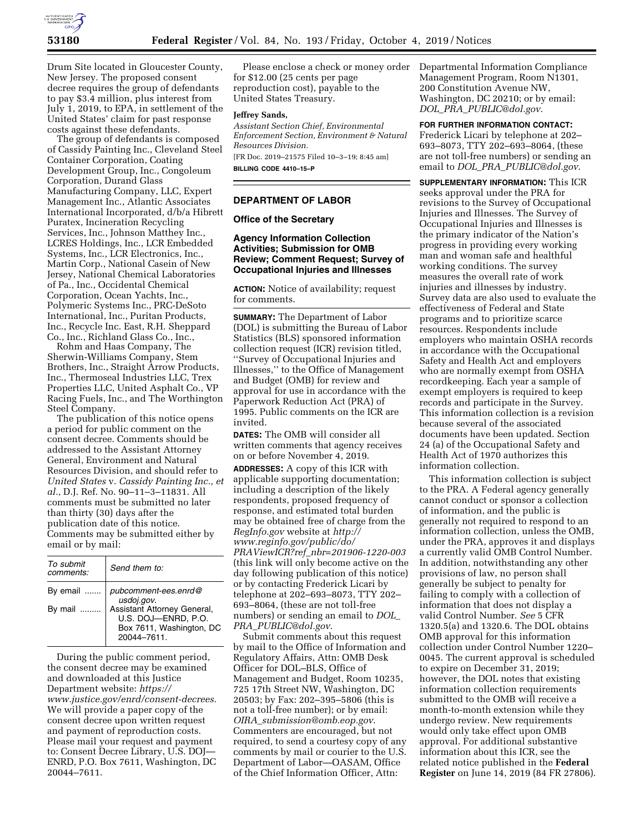

Drum Site located in Gloucester County, New Jersey. The proposed consent decree requires the group of defendants to pay \$3.4 million, plus interest from July 1, 2019, to EPA, in settlement of the United States' claim for past response costs against these defendants.

The group of defendants is composed of Cassidy Painting Inc., Cleveland Steel Container Corporation, Coating Development Group, Inc., Congoleum Corporation, Durand Glass Manufacturing Company, LLC, Expert Management Inc., Atlantic Associates International Incorporated, d/b/a Hibrett Puratex, Incineration Recycling Services, Inc., Johnson Matthey Inc., LCRES Holdings, Inc., LCR Embedded Systems, Inc., LCR Electronics, Inc., Martin Corp., National Casein of New Jersey, National Chemical Laboratories of Pa., Inc., Occidental Chemical Corporation, Ocean Yachts, Inc., Polymeric Systems Inc., PRC-DeSoto International, Inc., Puritan Products, Inc., Recycle Inc. East, R.H. Sheppard Co., Inc., Richland Glass Co., Inc.,

Rohm and Haas Company, The Sherwin-Williams Company, Stem Brothers, Inc., Straight Arrow Products, Inc., Thermoseal Industries LLC, Trex Properties LLC, United Asphalt Co., VP Racing Fuels, Inc., and The Worthington Steel Company.

The publication of this notice opens a period for public comment on the consent decree. Comments should be addressed to the Assistant Attorney General, Environment and Natural Resources Division, and should refer to *United States* v. *Cassidy Painting Inc., et al.,* D.J. Ref. No. 90–11–3–11831. All comments must be submitted no later than thirty (30) days after the publication date of this notice. Comments may be submitted either by email or by mail:

| To submit<br>comments: | Send them to:                                                                                |
|------------------------|----------------------------------------------------------------------------------------------|
| By email               | pubcomment-ees.enrd@<br>usdoj.gov.                                                           |
| By mail                | Assistant Attorney General,<br>U.S. DOJ-ENRD, P.O.<br>Box 7611, Washington, DC<br>20044-7611 |

During the public comment period, the consent decree may be examined and downloaded at this Justice Department website: *[https://](https://www.justice.gov/enrd/consent-decrees) [www.justice.gov/enrd/consent-decrees.](https://www.justice.gov/enrd/consent-decrees)*  We will provide a paper copy of the consent decree upon written request and payment of reproduction costs. Please mail your request and payment to: Consent Decree Library, U.S. DOJ— ENRD, P.O. Box 7611, Washington, DC 20044–7611.

Please enclose a check or money order for \$12.00 (25 cents per page reproduction cost), payable to the United States Treasury.

### **Jeffrey Sands,**

*Assistant Section Chief, Environmental Enforcement Section, Environment & Natural Resources Division.* 

[FR Doc. 2019–21575 Filed 10–3–19; 8:45 am] **BILLING CODE 4410–15–P** 

## **DEPARTMENT OF LABOR**

### **Office of the Secretary**

**Agency Information Collection Activities; Submission for OMB Review; Comment Request; Survey of Occupational Injuries and Illnesses** 

**ACTION:** Notice of availability; request for comments.

**SUMMARY:** The Department of Labor (DOL) is submitting the Bureau of Labor Statistics (BLS) sponsored information collection request (ICR) revision titled, ''Survey of Occupational Injuries and Illnesses,'' to the Office of Management and Budget (OMB) for review and approval for use in accordance with the Paperwork Reduction Act (PRA) of 1995. Public comments on the ICR are invited.

**DATES:** The OMB will consider all written comments that agency receives on or before November 4, 2019.

**ADDRESSES:** A copy of this ICR with applicable supporting documentation; including a description of the likely respondents, proposed frequency of response, and estimated total burden may be obtained free of charge from the *RegInfo.gov* website at *[http://](http://www.reginfo.gov/public/do/PRAViewICR?ref_nbr=201906-1220-003) [www.reginfo.gov/public/do/](http://www.reginfo.gov/public/do/PRAViewICR?ref_nbr=201906-1220-003)  PRAViewICR?ref*\_*[nbr=201906-1220-003](http://www.reginfo.gov/public/do/PRAViewICR?ref_nbr=201906-1220-003)*  (this link will only become active on the day following publication of this notice) or by contacting Frederick Licari by telephone at 202–693–8073, TTY 202– 693–8064, (these are not toll-free numbers) or sending an email to *[DOL](mailto:DOL_PRA_PUBLIC@dol.gov)*\_ *PRA*\_*[PUBLIC@dol.gov](mailto:DOL_PRA_PUBLIC@dol.gov)*.

Submit comments about this request by mail to the Office of Information and Regulatory Affairs, Attn: OMB Desk Officer for DOL–BLS, Office of Management and Budget, Room 10235, 725 17th Street NW, Washington, DC 20503; by Fax: 202–395–5806 (this is not a toll-free number); or by email: *OIRA*\_*[submission@omb.eop.gov](mailto:OIRA_submission@omb.eop.gov)*. Commenters are encouraged, but not required, to send a courtesy copy of any comments by mail or courier to the U.S. Department of Labor—OASAM, Office of the Chief Information Officer, Attn:

Departmental Information Compliance Management Program, Room N1301, 200 Constitution Avenue NW, Washington, DC 20210; or by email: *DOL*\_*PRA*\_*[PUBLIC@dol.gov](mailto:DOL_PRA_PUBLIC@dol.gov)*.

**FOR FURTHER INFORMATION CONTACT:** 

Frederick Licari by telephone at 202– 693–8073, TTY 202–693–8064, (these are not toll-free numbers) or sending an email to *DOL*\_*PRA*\_*[PUBLIC@dol.gov](mailto:DOL_PRA_PUBLIC@dol.gov)*.

**SUPPLEMENTARY INFORMATION:** This ICR seeks approval under the PRA for revisions to the Survey of Occupational Injuries and Illnesses. The Survey of Occupational Injuries and Illnesses is the primary indicator of the Nation's progress in providing every working man and woman safe and healthful working conditions. The survey measures the overall rate of work injuries and illnesses by industry. Survey data are also used to evaluate the effectiveness of Federal and State programs and to prioritize scarce resources. Respondents include employers who maintain OSHA records in accordance with the Occupational Safety and Health Act and employers who are normally exempt from OSHA recordkeeping. Each year a sample of exempt employers is required to keep records and participate in the Survey. This information collection is a revision because several of the associated documents have been updated. Section 24 (a) of the Occupational Safety and Health Act of 1970 authorizes this information collection.

This information collection is subject to the PRA. A Federal agency generally cannot conduct or sponsor a collection of information, and the public is generally not required to respond to an information collection, unless the OMB, under the PRA, approves it and displays a currently valid OMB Control Number. In addition, notwithstanding any other provisions of law, no person shall generally be subject to penalty for failing to comply with a collection of information that does not display a valid Control Number. *See* 5 CFR 1320.5(a) and 1320.6. The DOL obtains OMB approval for this information collection under Control Number 1220– 0045. The current approval is scheduled to expire on December 31, 2019; however, the DOL notes that existing information collection requirements submitted to the OMB will receive a month-to-month extension while they undergo review. New requirements would only take effect upon OMB approval. For additional substantive information about this ICR, see the related notice published in the **Federal Register** on June 14, 2019 (84 FR 27806).